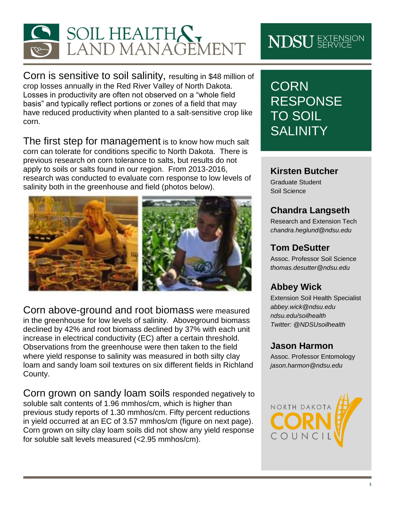

Corn is sensitive to soil salinity, resulting in \$48 million of crop losses annually in the Red River Valley of North Dakota. Losses in productivity are often not observed on a "whole field basis" and typically reflect portions or zones of a field that may have reduced productivity when planted to a salt-sensitive crop like corn.

The first step for management is to know how much salt corn can tolerate for conditions specific to North Dakota. There is previous research on corn tolerance to salts, but results do not apply to soils or salts found in our region. From 2013-2016, research was conducted to evaluate corn response to low levels of salinity both in the greenhouse and field (photos below).



Corn above-ground and root biomass were measured in the greenhouse for low levels of salinity. Aboveground biomass declined by 42% and root biomass declined by 37% with each unit increase in electrical conductivity (EC) after a certain threshold. Observations from the greenhouse were then taken to the field where yield response to salinity was measured in both silty clay loam and sandy loam soil textures on six different fields in Richland County.

Corn grown on sandy loam soils responded negatively to soluble salt contents of 1.96 mmhos/cm, which is higher than previous study reports of 1.30 mmhos/cm. Fifty percent reductions in yield occurred at an EC of 3.57 mmhos/cm (figure on next page). Corn grown on silty clay loam soils did not show any yield response for soluble salt levels measured (<2.95 mmhos/cm).

# **NDSU** EXTENSION

# **CORN** RESPONSE TO SOIL **SALINITY**

#### **Kirsten Butcher**

Graduate Student Soil Science

## **Chandra Langseth**

Research and Extension Tech *[chandra.heglund@ndsu.edu](mailto:thomas.desutter@ndsu.edu)*

#### **Tom DeSutter**

Assoc. Professor Soil Science *[thomas.desutter@ndsu.edu](mailto:thomas.desutter@ndsu.edu)*

## **Abbey Wick**

Extension Soil Health Specialist *[abbey.wick@ndsu.edu](mailto:abbey.wick@ndsu.edu) ndsu.edu/soilhealth Twitter: @NDSUsoilhealth*

#### **Jason Harmon**

Assoc. Professor Entomology *jason.harmon@ndsu.edu*